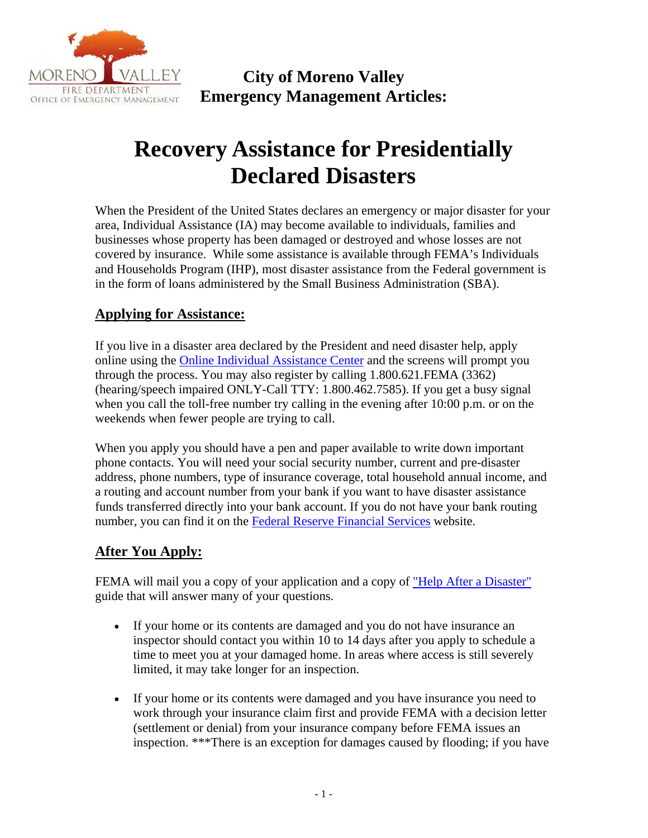

**City of Moreno Valley Emergency Management Articles:** 

# **Recovery Assistance for Presidentially Declared Disasters**

When the President of the United States declares an emergency or major disaster for your area, Individual Assistance (IA) may become available to individuals, families and businesses whose property has been damaged or destroyed and whose losses are not covered by insurance. While some assistance is available through FEMA's Individuals and Households Program (IHP), most disaster assistance from the Federal government is in the form of loans administered by the Small Business Administration (SBA).

### **Applying for Assistance:**

If you live in a disaster area declared by the President and need disaster help, apply online using the Online Individual Assistance Center and the screens will prompt you through the process. You may also register by calling 1.800.621.FEMA (3362) (hearing/speech impaired ONLY-Call TTY: 1.800.462.7585). If you get a busy signal when you call the toll-free number try calling in the evening after 10:00 p.m. or on the weekends when fewer people are trying to call.

When you apply you should have a pen and paper available to write down important phone contacts. You will need your social security number, current and pre-disaster address, phone numbers, type of insurance coverage, total household annual income, and a routing and account number from your bank if you want to have disaster assistance funds transferred directly into your bank account. If you do not have your bank routing number, you can find it on the Federal Reserve Financial Services website.

#### **After You Apply:**

FEMA will mail you a copy of your application and a copy of "Help After a Disaster" guide that will answer many of your questions.

- If your home or its contents are damaged and you do not have insurance an inspector should contact you within 10 to 14 days after you apply to schedule a time to meet you at your damaged home. In areas where access is still severely limited, it may take longer for an inspection.
- If your home or its contents were damaged and you have insurance you need to work through your insurance claim first and provide FEMA with a decision letter (settlement or denial) from your insurance company before FEMA issues an inspection. \*\*\*There is an exception for damages caused by flooding; if you have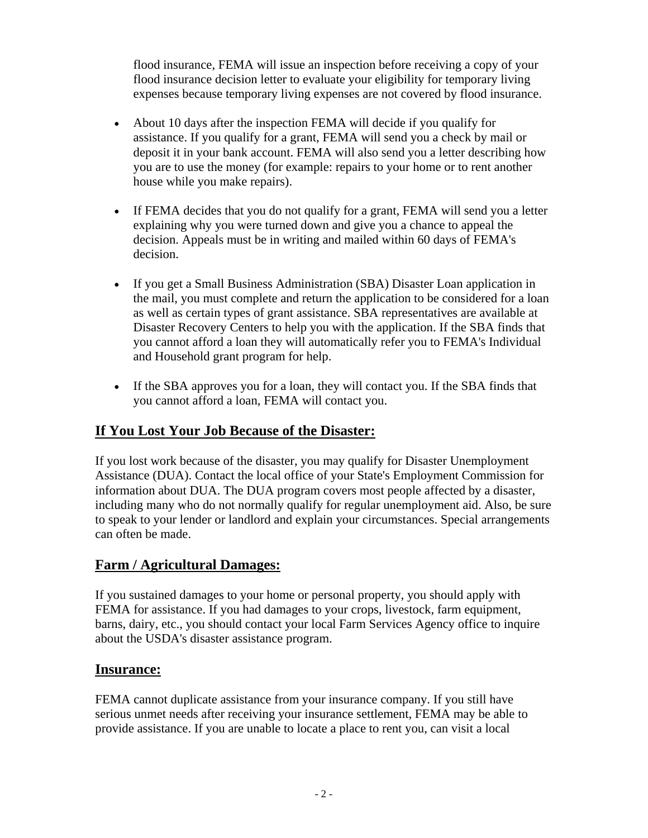flood insurance, FEMA will issue an inspection before receiving a copy of your flood insurance decision letter to evaluate your eligibility for temporary living expenses because temporary living expenses are not covered by flood insurance.

- About 10 days after the inspection FEMA will decide if you qualify for assistance. If you qualify for a grant, FEMA will send you a check by mail or deposit it in your bank account. FEMA will also send you a letter describing how you are to use the money (for example: repairs to your home or to rent another house while you make repairs).
- If FEMA decides that you do not qualify for a grant, FEMA will send you a letter explaining why you were turned down and give you a chance to appeal the decision. Appeals must be in writing and mailed within 60 days of FEMA's decision.
- If you get a Small Business Administration (SBA) Disaster Loan application in the mail, you must complete and return the application to be considered for a loan as well as certain types of grant assistance. SBA representatives are available at Disaster Recovery Centers to help you with the application. If the SBA finds that you cannot afford a loan they will automatically refer you to FEMA's Individual and Household grant program for help.
- If the SBA approves you for a loan, they will contact you. If the SBA finds that you cannot afford a loan, FEMA will contact you.

### **If You Lost Your Job Because of the Disaster:**

If you lost work because of the disaster, you may qualify for Disaster Unemployment Assistance (DUA). Contact the local office of your State's Employment Commission for information about DUA. The DUA program covers most people affected by a disaster, including many who do not normally qualify for regular unemployment aid. Also, be sure to speak to your lender or landlord and explain your circumstances. Special arrangements can often be made.

### **Farm / Agricultural Damages:**

If you sustained damages to your home or personal property, you should apply with FEMA for assistance. If you had damages to your crops, livestock, farm equipment, barns, dairy, etc., you should contact your local Farm Services Agency office to inquire about the USDA's disaster assistance program.

#### **Insurance:**

FEMA cannot duplicate assistance from your insurance company. If you still have serious unmet needs after receiving your insurance settlement, FEMA may be able to provide assistance. If you are unable to locate a place to rent you, can visit a local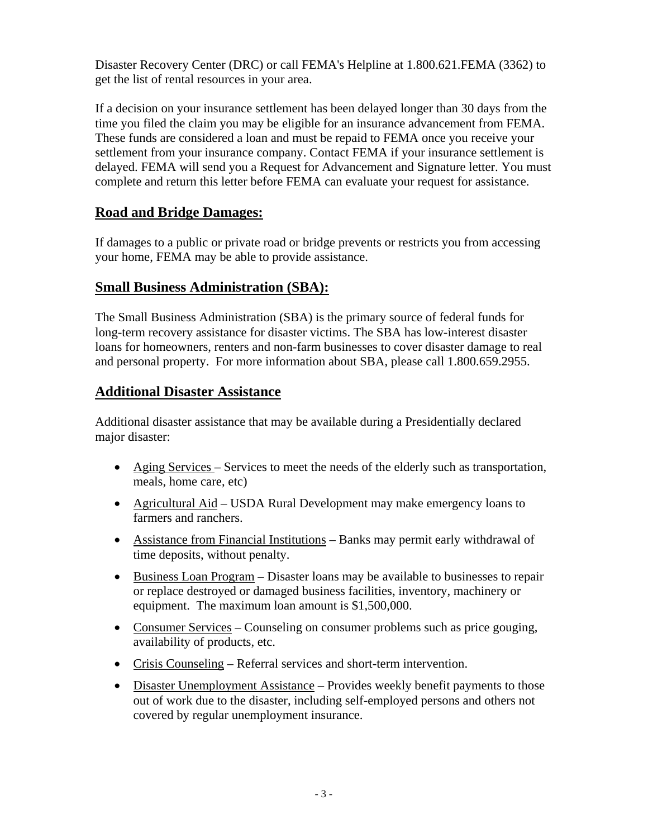Disaster Recovery Center (DRC) or call FEMA's Helpline at 1.800.621.FEMA (3362) to get the list of rental resources in your area.

If a decision on your insurance settlement has been delayed longer than 30 days from the time you filed the claim you may be eligible for an insurance advancement from FEMA. These funds are considered a loan and must be repaid to FEMA once you receive your settlement from your insurance company. Contact FEMA if your insurance settlement is delayed. FEMA will send you a Request for Advancement and Signature letter. You must complete and return this letter before FEMA can evaluate your request for assistance.

#### **Road and Bridge Damages:**

If damages to a public or private road or bridge prevents or restricts you from accessing your home, FEMA may be able to provide assistance.

#### **Small Business Administration (SBA):**

The Small Business Administration (SBA) is the primary source of federal funds for long-term recovery assistance for disaster victims. The SBA has low-interest disaster loans for homeowners, renters and non-farm businesses to cover disaster damage to real and personal property. For more information about SBA, please call 1.800.659.2955.

#### **Additional Disaster Assistance**

Additional disaster assistance that may be available during a Presidentially declared major disaster:

- Aging Services Services to meet the needs of the elderly such as transportation, meals, home care, etc)
- Agricultural Aid USDA Rural Development may make emergency loans to farmers and ranchers.
- Assistance from Financial Institutions Banks may permit early withdrawal of time deposits, without penalty.
- Business Loan Program Disaster loans may be available to businesses to repair or replace destroyed or damaged business facilities, inventory, machinery or equipment. The maximum loan amount is \$1,500,000.
- Consumer Services Counseling on consumer problems such as price gouging, availability of products, etc.
- Crisis Counseling Referral services and short-term intervention.
- Disaster Unemployment Assistance Provides weekly benefit payments to those out of work due to the disaster, including self-employed persons and others not covered by regular unemployment insurance.